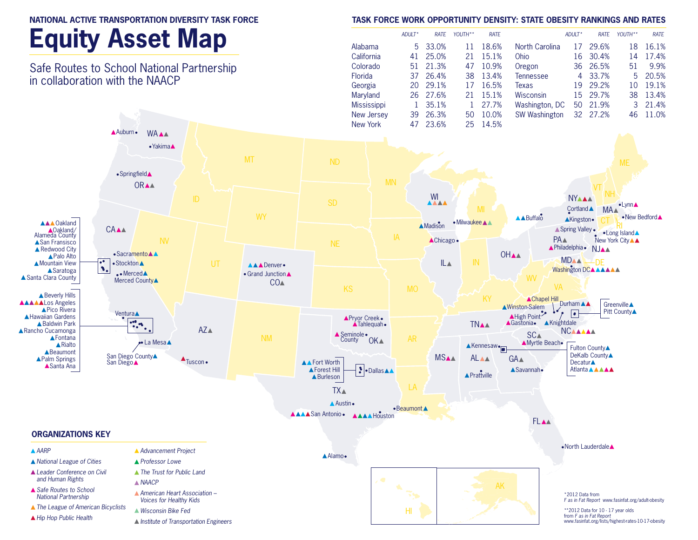#### **Equity Asset Map** *ADULT\* RATE YOUTH\*\* RATE ADULT\* RATE YOUTH\*\* RATE*  Alabama 5 33.0% 11 18.6% North Carolina 17 29.6% 18 16.1% California 41 25.0% 21 15.1% Ohio 16 30.4% 14 17.4% Safe Routes to School National Partnership Colorado 51 21.3% 47 10.9% Oregon 36 26.5% 51 9.9% Florida 37 26.4% 38 13.4% Tennessee 4 33.7% 5 20.5% in collaboration with the NAACP Georgia 20 29.1% 17 16.5% Texas 19 29.2% 10 19.1% Maryland 26 27.6% 21 15.1% Wisconsin 15 29.7% 38 13.4% Mississippi 1 35.1% 1 27.7% Washington, DC 50 21.9% 3 21.4% New Jersey 39 26.3% 50 10.0% SW Washington 32 27.2% 46 11.0% New York 47 23.6% 25 14.5% Auburn **WAAA** •Yakima<sup>1</sup> MT ND • Springfield<sup>▲</sup> MN **ORAA** VT NH  $W1$  NY •Lynn<sup>A</sup> Cortland **A** MA<sup>A</sup> •New Bedford WY Madison Milwaukee AA ABuffalo AKingston **AKingston**<br>Spring Valley<br>CT RISland Spring Valley **AAA** Oakland **CAAA** Oakland/ Alameda County IA PA<sup>A</sup> ▲Chicago • New York City A A ▲ San Fransisco NE Philadelphia• NJ ▲ Redwood City • Sacramento **A OHAA** ▲ Palo Alto **MDAA** ▲ Mountain View • Stockton A IL IN MIDAA<br>Washington DCAAA AAADenver.  $\bullet$ **ASaratoga** .**Merced** • Grand Junction A ▲ Santa Clara County WV Merced County∧  $CO<sub>A</sub>$ VA KS **A** Beverly Hills KY ▲Chapel Hill **AAAAL**os Angeles Ninston-Salem Durham Greenville A ▲ Pico Rivera **Pitt Countv▲ Ventura** AHigh Point **A Hawaiian Gardens** Pryor Creek Channel Channel Channel Channel Channel Channel Channel Channel Channel Channel Channel Channel Channel Channel Channel Channel Channel Channel Channel Channel Channel Channel Channel Channel Channel Channel Ch  $\overline{AB}$  $K$ nightdale ▲ Baldwin Park  $\cdot\cdot$ **TNAA**  $AZ<sub>A</sub>$ **ARancho Cucamonga NCAAAAA SCA** ▲ Seminole • **AFontana** NM **County** OK**A**  $\bullet$  La Mesa $\blacktriangle$ Kennesaw – **AMyrtle Beach A**Rialto **Fulton County▲ A**Beaumont DeKalb County<sup>▲</sup> San Diego County▲ MSAA ALAA GA<sup>A</sup> ▲Palm Springs  $\triangle$ Tuscon • **A** Fort Worth **Decatur**▲ San Diego▲ **▲Santa Ana 3** • Dallas **A** Atlanta **AAAA** ▲Forest Hill ▲Savannah• **A** Prattville **A** Burleson LA TX **A** Austin •Beaumont A **AAAA** San Antonio • **AAA** Houston **FLAA ORGANIZATIONS KEY** North Lauderdale *AARP Advancement Project* Alamo *National League of Cities Professor Lowe Leader Conference on Civil The Trust for Public Land and Human Rights NAACP* AK *Safe Routes to School American Heart Association –*  \*2012 Data from *National Partnership Voices for Healthy Kids F as in Fat Report* www.fasinfat.org/adult-obesity *The League of American Bicyclists Wisconsin Bike Fed* HI \*\*2012 Data for 10 - 17 year olds from *F as in Fat Report Hip Hop Public Health Institute of Transportation Engineers*www.fasinfat.org/lists/highest-rates-10-17-obesity

**NATIONAL ACTIVE TRANSPORTATION DIVERSITY TASK FORCE** 

### **TASK FORCE WORK OPPORTUNITY DENSITY: STATE OBESITY RANKINGS AND RATES**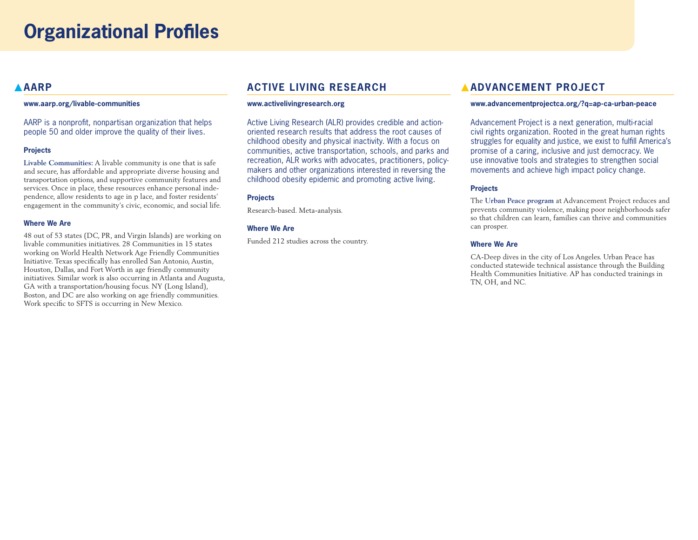## **AARP**

#### **www.aarp.org/livable-communities**

AARP is a nonprofit, nonpartisan organization that helps people 50 and older improve the quality of their lives.

#### **Projects**

**Livable Communities:** A livable community is one that is safe and secure, has affordable and appropriate diverse housing and transportation options, and supportive community features and services. Once in place, these resources enhance personal independence, allow residents to age in p lace, and foster residents' engagement in the community's civic, economic, and social life.

#### **Where We Are**

48 out of 53 states (DC, PR, and Virgin Islands) are working on livable communities initiatives. 28 Communities in 15 states working on World Health Network Age Friendly Communities Initiative. Texas specifically has enrolled San Antonio, Austin, Houston, Dallas, and Fort Worth in age friendly community initiatives. Similar work is also occurring in Atlanta and Augusta, GA with a transportation/housing focus. NY (Long Island), Boston, and DC are also working on age friendly communities. Work specific to SFTS is occurring in New Mexico.

## **ACTIVE LIVING RESEARCH**

#### **www.activelivingresearch.org**

Active Living Research (ALR) provides credible and actionoriented research results that address the root causes of childhood obesity and physical inactivity. With a focus on communities, active transportation, schools, and parks and recreation, ALR works with advocates, practitioners, policymakers and other organizations interested in reversing the childhood obesity epidemic and promoting active living.

#### **Projects**

Research-based. Meta-analysis.

#### **Where We Are**

Funded 212 studies across the country.

## **ADVANCEMENT PROJECT**

#### **www.advancementprojectca.org/?q=ap-ca-urban-peace**

Advancement Project is a next generation, multi-racial civil rights organization. Rooted in the great human rights struggles for equality and justice, we exist to fulfill America's promise of a caring, inclusive and just democracy. We use innovative tools and strategies to strengthen social movements and achieve high impact policy change.

#### **Projects**

The **Urban Peace program** at Advancement Project reduces and prevents community violence, making poor neighborhoods safer so that children can learn, families can thrive and communities can prosper.

#### **Where We Are**

CA-Deep dives in the city of Los Angeles. Urban Peace has conducted statewide technical assistance through the Building Health Communities Initiative. AP has conducted trainings in TN, OH, and NC.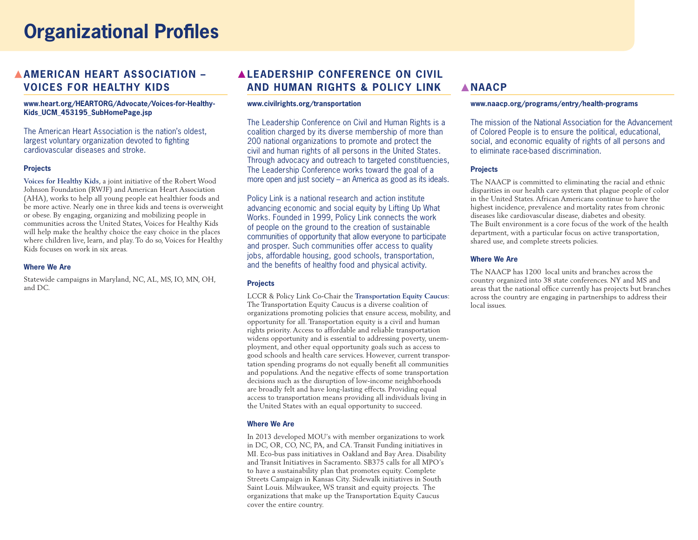## **Organizational Profiles**

## **AMERICAN HEART ASSOCIATION – VOICES FOR HEALTHY KIDS**

#### **www.heart.org/HEARTORG/Advocate/Voices-for-Healthy-Kids\_UCM\_453195\_SubHomePage.jsp**

The American Heart Association is the nation's oldest, largest voluntary organization devoted to fighting cardiovascular diseases and stroke.

#### **Projects**

**Voices for Healthy Kids**, a joint initiative of the Robert Wood Johnson Foundation (RWJF) and American Heart Association (AHA), works to help all young people eat healthier foods and be more active. Nearly one in three kids and teens is overweight or obese. By engaging, organizing and mobilizing people in communities across the United States, Voices for Healthy Kids will help make the healthy choice the easy choice in the places where children live, learn, and play. To do so, Voices for Healthy Kids focuses on work in six areas.

#### **Where We Are**

Statewide campaigns in Maryland, NC, AL, MS, IO, MN, OH, and DC.

## **LEADERSHIP CONFERENCE ON CIVIL AND HUMAN RIGHTS & POLICY LINK**

#### **www.civilrights.org/transportation**

The Leadership Conference on Civil and Human Rights is a coalition charged by its diverse membership of more than 200 national organizations to promote and protect the civil and human rights of all persons in the United States. Through advocacy and outreach to targeted constituencies, The Leadership Conference works toward the goal of a more open and just society – an America as good as its ideals.

Policy Link is a national research and action institute advancing economic and social equity by Lifting Up What Works. Founded in 1999, Policy Link connects the work of people on the ground to the creation of sustainable communities of opportunity that allow everyone to participate and prosper. Such communities offer access to quality jobs, affordable housing, good schools, transportation, and the benefits of healthy food and physical activity.

### **Projects**

LCCR & Policy Link Co-Chair the **Transportation Equity Caucus**: The Transportation Equity Caucus is a diverse coalition of organizations promoting policies that ensure access, mobility, and opportunity for all. Transportation equity is a civil and human rights priority. Access to affordable and reliable transportation widens opportunity and is essential to addressing poverty, unemployment, and other equal opportunity goals such as access to good schools and health care services. However, current transportation spending programs do not equally benefit all communities and populations. And the negative effects of some transportation decisions such as the disruption of low-income neighborhoods are broadly felt and have long-lasting effects. Providing equal access to transportation means providing all individuals living in the United States with an equal opportunity to succeed.

#### **Where We Are**

In 2013 developed MOU's with member organizations to work in DC, OR, CO, NC, PA, and CA. Transit Funding initiatives in MI. Eco-bus pass initiatives in Oakland and Bay Area. Disability and Transit Initiatives in Sacramento. SB375 calls for all MPO's to have a sustainability plan that promotes equity. Complete Streets Campaign in Kansas City. Sidewalk initiatives in South Saint Louis. Milwaukee, WS transit and equity projects. The organizations that make up the Transportation Equity Caucus cover the entire country.

## **NAACP**

#### **www.naacp.org/programs/entry/health-programs**

The mission of the National Association for the Advancement of Colored People is to ensure the political, educational, social, and economic equality of rights of all persons and to eliminate race-based discrimination.

#### **Projects**

The NAACP is committed to eliminating the racial and ethnic disparities in our health care system that plague people of color in the United States. African Americans continue to have the highest incidence, prevalence and mortality rates from chronic diseases like cardiovascular disease, diabetes and obesity. The Built environment is a core focus of the work of the health department, with a particular focus on active transportation, shared use, and complete streets policies.

#### **Where We Are**

The NAACP has 1200 local units and branches across the country organized into 38 state conferences. NY and MS and areas that the national office currently has projects but branches across the country are engaging in partnerships to address their local issues.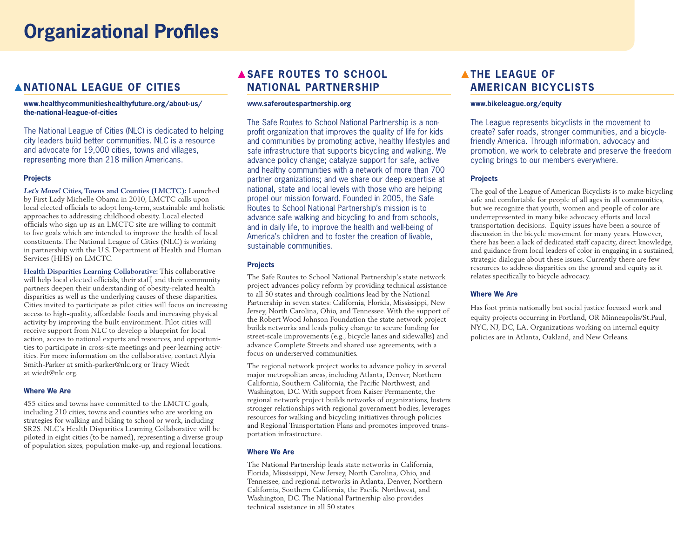# **Organizational Profiles**

## **NATIONAL LEAGUE OF CITIES**

#### **www.healthycommunitieshealthyfuture.org/about-us/ the-national-league-of-cities**

The National League of Cities (NLC) is dedicated to helping city leaders build better communities. NLC is a resource and advocate for 19,000 cities, towns and villages, representing more than 218 million Americans.

#### **Projects**

*Let's Move!* **Cities, Towns and Counties (LMCTC):** Launched by First Lady Michelle Obama in 2010, LMCTC calls upon local elected officials to adopt long-term, sustainable and holistic approaches to addressing childhood obesity. Local elected officials who sign up as an LMCTC site are willing to commit to five goals which are intended to improve the health of local constituents. The National League of Cities (NLC) is working in partnership with the U.S. Department of Health and Human Services (HHS) on LMCTC.

**Health Disparities Learning Collaborative:** This collaborative will help local elected officials, their staff, and their community partners deepen their understanding of obesity-related health disparities as well as the underlying causes of these disparities. Cities invited to participate as pilot cities will focus on increasing access to high-quality, affordable foods and increasing physical activity by improving the built environment. Pilot cities will receive support from NLC to develop a blueprint for local action, access to national experts and resources, and opportunities to participate in cross-site meetings and peer-learning activities. For more information on the collaborative, contact Alyia Smith-Parker at smith-parker@nlc.org or Tracy Wiedt at wiedt@nlc.org.

#### **Where We Are**

455 cities and towns have committed to the LMCTC goals, including 210 cities, towns and counties who are working on strategies for walking and biking to school or work, including SR2S. NLC's Health Disparities Learning Collaborative will be piloted in eight cities (to be named), representing a diverse group of population sizes, population make-up, and regional locations.

## **ASAFE ROUTES TO SCHOOL NATIONAL PARTNERSHIP**

#### **www.saferoutespartnership.org**

The Safe Routes to School National Partnership is a nonprofit organization that improves the quality of life for kids and communities by promoting active, healthy lifestyles and safe infrastructure that supports bicycling and walking. We advance policy change; catalyze support for safe, active and healthy communities with a network of more than 700 partner organizations; and we share our deep expertise at national, state and local levels with those who are helping propel our mission forward. Founded in 2005, the Safe Routes to School National Partnership's mission is to advance safe walking and bicycling to and from schools, and in daily life, to improve the health and well-being of America's children and to foster the creation of livable, sustainable communities.

#### **Projects**

The Safe Routes to School National Partnership's state network project advances policy reform by providing technical assistance to all 50 states and through coalitions lead by the National Partnership in seven states: California, Florida, Mississippi, New Jersey, North Carolina, Ohio, and Tennessee. With the support of the Robert Wood Johnson Foundation the state network project builds networks and leads policy change to secure funding for street-scale improvements (e.g., bicycle lanes and sidewalks) and advance Complete Streets and shared use agreements, with a focus on underserved communities.

The regional network project works to advance policy in several major metropolitan areas, including Atlanta, Denver, Northern California, Southern California, the Pacific Northwest, and Washington, DC. With support from Kaiser Permanente, the regional network project builds networks of organizations, fosters stronger relationships with regional government bodies, leverages resources for walking and bicycling initiatives through policies and Regional Transportation Plans and promotes improved transportation infrastructure.

#### **Where We Are**

The National Partnership leads state networks in California, Florida, Mississippi, New Jersey, North Carolina, Ohio, and Tennessee, and regional networks in Atlanta, Denver, Northern California, Southern California, the Pacific Northwest, and Washington, DC. The National Partnership also provides technical assistance in all 50 states.

## **ATHE LEAGUE OF AMERICAN BICYCLISTS**

#### **www.bikeleague.org/equity**

The League represents bicyclists in the movement to create? safer roads, stronger communities, and a bicyclefriendly America. Through information, advocacy and promotion, we work to celebrate and preserve the freedom cycling brings to our members everywhere.

#### **Projects**

The goal of the League of American Bicyclists is to make bicycling safe and comfortable for people of all ages in all communities, but we recognize that youth, women and people of color are underrepresented in many bike advocacy efforts and local transportation decisions. Equity issues have been a source of discussion in the bicycle movement for many years. However, there has been a lack of dedicated staff capacity, direct knowledge, and guidance from local leaders of color in engaging in a sustained, strategic dialogue about these issues. Currently there are few resources to address disparities on the ground and equity as it relates specifically to bicycle advocacy.

#### **Where We Are**

Has foot prints nationally but social justice focused work and equity projects occurring in Portland, OR Minneapolis/St.Paul, NYC, NJ, DC, LA. Organizations working on internal equity policies are in Atlanta, Oakland, and New Orleans.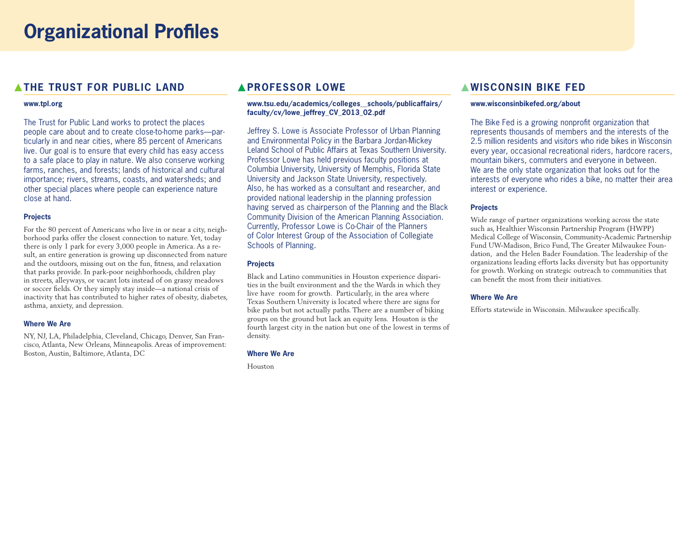## **A THE TRUST FOR PUBLIC LAND**

#### **www.tpl.org**

The Trust for Public Land works to protect the places people care about and to create close-to-home parks—particularly in and near cities, where 85 percent of Americans live. Our goal is to ensure that every child has easy access to a safe place to play in nature. We also conserve working farms, ranches, and forests; lands of historical and cultural importance; rivers, streams, coasts, and watersheds; and other special places where people can experience nature close at hand.

#### **Projects**

For the 80 percent of Americans who live in or near a city, neighborhood parks offer the closest connection to nature. Yet, today there is only 1 park for every 3,000 people in America. As a result, an entire generation is growing up disconnected from nature and the outdoors, missing out on the fun, fitness, and relaxation that parks provide. In park-poor neighborhoods, children play in streets, alleyways, or vacant lots instead of on grassy meadows or soccer fields. Or they simply stay inside—a national crisis of inactivity that has contributed to higher rates of obesity, diabetes, asthma, anxiety, and depression.

#### **Where We Are**

NY, NJ, LA, Philadelphia, Cleveland, Chicago, Denver, San Francisco, Atlanta, New Orleans, Minneapolis. Areas of improvement: Boston, Austin, Baltimore, Atlanta, DC

## **APROFESSOR LOWE**

#### **www.tsu.edu/academics/colleges\_\_schools/publicaffairs/ faculty/cv/lowe\_jeffrey\_CV\_2013\_02.pdf**

Jeffrey S. Lowe is Associate Professor of Urban Planning and Environmental Policy in the Barbara Jordan-Mickey Leland School of Public Affairs at Texas Southern University. Professor Lowe has held previous faculty positions at Columbia University, University of Memphis, Florida State University and Jackson State University, respectively. Also, he has worked as a consultant and researcher, and provided national leadership in the planning profession having served as chairperson of the Planning and the Black Community Division of the American Planning Association. Currently, Professor Lowe is Co-Chair of the Planners of Color Interest Group of the Association of Collegiate Schools of Planning.

#### **Projects**

Black and Latino communities in Houston experience disparities in the built environment and the the Wards in which they live have room for growth. Particularly, in the area where Texas Southern University is located where there are signs for bike paths but not actually paths. There are a number of biking groups on the ground but lack an equity lens. Houston is the fourth largest city in the nation but one of the lowest in terms of density.

#### **Where We Are**

Houston

## **WISCONSIN BIKE FED**

#### **www.wisconsinbikefed.org/about**

The Bike Fed is a growing nonprofit organization that represents thousands of members and the interests of the 2.5 million residents and visitors who ride bikes in Wisconsin every year, occasional recreational riders, hardcore racers, mountain bikers, commuters and everyone in between. We are the only state organization that looks out for the interests of everyone who rides a bike, no matter their area interest or experience.

#### **Projects**

Wide range of partner organizations working across the state such as, Healthier Wisconsin Partnership Program (HWPP) Medical College of Wisconsin, Community-Academic Partnership Fund UW-Madison, Brico Fund, The Greater Milwaukee Foundation, and the Helen Bader Foundation. The leadership of the organizations leading efforts lacks diversity but has opportunity for growth. Working on strategic outreach to communities that can benefit the most from their initiatives.

#### **Where We Are**

Efforts statewide in Wisconsin. Milwaukee specifically.